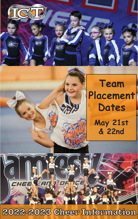

# **Team Placement Dates May 21st & 22nd**

**2022-2023 Cheer Information**

H<sub>E</sub>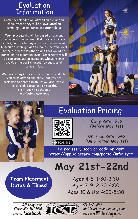## Evaluation Information

Each cheerleader will attend an evaluation clinic where they will be evaluated on tumbling, jumps, dance and stunt skills.

Team placements will be based on age and overall abilities across all skill sets. In some cases, an athlete may not have the required minimum tumbling skills to make a certain level team, but possess other skills that would be beneficial to a certain team. Team rosters will be compromised of members whose talents provide the best chances for success at competition.

We have 2 days of evaluation clinics available. You must attend one clinic, but you are welcome to attend both. If you are unable to attend, please call or see the front desk to schedule a private placement.



# Evaluation Pricing



**Early Rate: \$35 (Before May 1st)**

**On Time Rate: \$45 (On or after May 1st)**

**To register, scan qr code or visit https://app.iclasspro.com/portal/infinityct**

**May 21st-22nd**

**Team Placement Dates & Times!**

Ages 4-6: 1:30-2:30 Ages 7-9: 2:30-4:00 Ages 10 & Up: 4:00-5:30

438 Kelly Lane<br>Clarksville, TN 37040 like us on facebook.



931-572-0089 info@clarksville-tumbling.com follow us on **O** Instagram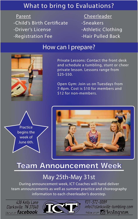### What to bring to Evaluations?

**Parent** -Child's Birth Certificate -Driver's License -Registration Fee

**Cheerleader** 

- -Sneakers
- -Athletic Clothing
- -Hair Pulled Back

#### How can I prepare?



Private Lessons: Contact the front desk and schedule a tumbling, stunt or cheer private lesson. Lessons range from \$25-\$50.

Open Gym: Join us on Tuesdays from 7-8pm. Cost is \$10 for members and \$12 for non-members.





# Team Announcement Week

## May 25th-May 31st

During announcement week, ICT Coaches will hand deliver team announcements as well as summer practice and choreography information to each cheerleader's doorstep.

438 Kelly Lane<br>Clarksville, TN 37040 like us on facebook.



931-572-0089 info@clarksville-tumbling.com follow us on **O** Instagram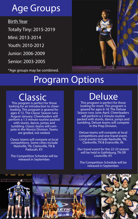# Age Groups

#### Birth Year

Totally Tiny: 2015-2019

Mini: 2013-2014

Youth: 2010-2012

Junior: 2006-2009

Senior: 2003-2005

\*Age groups may be combined.

# Program Options

This program is perfect for those looking for an introduction to cheerleading. This program is geared for ages 4-12. The Classic Season runs August-January. Cheerleaders will perform a 1.5 minute routine packed with stunts, dance, jumps and<br>tumbling. Classic teams will compete in the Novice Division. Teams are graded, not ranked.

Classic teams will compete at local competitions. Some cittes include Nashville, TN, Clarksville, TN & Paducah, KY.

The Competition Schedule will be released in September.

# Classic Deluxe

This program is perfect for those looking for more. This program is geared for ages 6-18. The Deluxe Season runs June-April. Cheerleaders will perform a 2 minute routine packed with stunts, dance, jumps and tumbling. Deluxe teams will compete in the Prep Division.

Deluxe teams will compete at local competitions and one travel event. Local events include Nashville, TN, Clarksville, TN & Evansville, IN.

Our travel event for the 22-23 season will be held in Gatlinburg, TN OR Louisville, KY.

The Competition Schedule will be released in September.

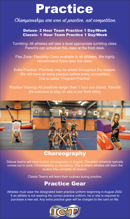# Practice

#### Championships are won at practice, not competition.

#### Deluxe- 2 Hour Team Practice 1 Day/Week Classic- 1 Hour Team Practice 1 Day/Week

Tumbling- All athletes will take a level appropriate tumbling class. Parent's can schedule this class at the front desk.

Flex Zone- Flexibility Class available to all athletes. We highly reccommend flyers take this class.

Extra Practice- Practices may be added throughout the season. We will have an extra practice before every competition. This is called "Program Practice".

Practice Viewing- All practices longer than 1 hour are closed. Parents are welcome to stay on site in our front lobby.



#### **Choreography**

Deluxe teams will have routine choreography in August. The exact schedule typically comes out in June. Choreography is mandatory. This is where athletes will learn the routine they compete all season.

Classic Teams will learn their routines during practice.

### Practice Gear

Athletes must wear the designated team practice uniform beginning in August 2022. If an athlete is not wearing the correct practice uniform, he or she is required to purchase a new set. Any extra practice gear will be charged to the card on file.

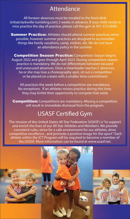### Attendance

All forseen absences must be emailed to the front desk (info@clarksville-tumbling.com) 2 weeks in advance. If your child needs to miss practice the day of practice, please call the gym at 931-572-0089.

**Summer Practice:** Athletes should attend summer practices when possible, however summer practices are designed to accomodate things like family vacations, camp, visition, etc. We do not have an attendance policy in the summer.

**Competition Season Practice:** Competition Season begins August 2022 and goes through April 2023. During competition season, practice is mandatory. We do not differentiate between excused and unexcused absences. Once a cheerleader reaches 5 absences, he or she may lose a choreography spot, sit out a competition or be placed on a team with a smaller time commitment.

All practices the week before a competition are mandatory. No exceptions. If an athletes misses practice during this time, they may forfeit their oppertunity to compete that week.

**Competition:** Competitions are mandatory. Missing a competition will result in immediate dismissal from the program.

### **USASF Certified Gym**

The mission of the United States All Star Federation (USASF) is "to support and enrich the lives of our All Star Athletes and Members. We provide consistent rules, strive for a safe environment for our athletes, drive competitive excellence , and promote a positive image for the sport". Each athlete within the ICT Program will be required to become a member of the USASF. More information can be found at www.usasf.net.





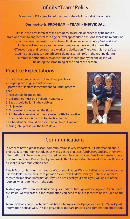### **Infinity "Team" Policy**

Members of ICT agree to put their team ahead of the individual athlete.

#### Our motto is PROGRAM > TEAM > INDIVIDUAL.

 If it is in the best interest of the program, an athlete or coach may be moved from one team to another team in age or level appropriate divisions. Please be mindful of the fact that routine positions are always fluid and never absolutely "set in stone". Athletes will naturally progress over time, some more rapidly than others. ICT recognizes and rewards hard work and dedication. Therefore, it is not safe to assume that because your athlete is doing a certain role in the routine during summer months and even at the time of choreography that he or she will be doing the same thing at the end of the season.

#### **Practice Expectations**

- 1. Cheer shoes must be worn to all team practices.
- 2. Proper practice gear must be worn.
- (Sports bra or leotard is recommended under practice gear)
- 3. Hair should be pulled up.
- 4. Cell phones must be on silent in your bag.
- 5. Bags should be left in the cubbies.
- 6. No jewelry.
- 7. Only water is allowed on the floor.
- 8. All cheerleaders should bring a water bottle to practice.
- 9. Cheerleaders should arrive to practice on time.
- 10. Cheerleaders should be picked up on time. If you are running late, please call the front desk.



#### Communications

In order to have a great season, communication is very important. All information about practice & competition schedules as well as extra practices, fundraisers and any other gym information will be emailed and posted on team facebook pages. Email is our main source of communication. Please check your email often for important team information. Below is a list of our communication lines.

Email- Again, this is our main source of cummunication. We email all information as soon as it is available. Please be sure to provide a valid email address that you check in order to receive all important information. If you do not check your email, you will be out of the loop on what is going on in the gym.

Texting App-We often send out short quick updates through our texting app. As our teams are set up, we will pass out the information you need to text in forder to be included on the list.

Team Facebook Page- Each team will have a team facebook page for parents. We will post information here as well. This is a great place to share practice and competition photos too.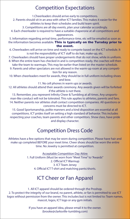#### Competition Expectations

1.Cheerleaders should arrive early to competitions.

2. Parents should sit in an area with other ICT families. This makes it easier for the athletes to keep their schedules and build team spirit.

3. Competitions are all day events, plan your calendar accordingly.

4. Each cheerleader is required to have a suitable chaperone at all competitions and

appearances.

5. Information regarding arrival time, performance time, etc will be emailed as soon as the information becomes available. This is typically on the Tursday prior to the event.

- 6. Cheerleaders will arrive on time and ready to compete based on the ICT schedule. It is not the responsibility of ICT staff to do hair, make-up, etc.
- 7. Cheerleaders should have proper undergarments that do not show, while in uniform. 8. When the entire team has checked in and is competition ready, the coaches will then
- take the team to warmups. This may be earlier than listed on the master schedule.
- 9. Parents and other spectators are not allowed in the warm-up room at any competition for any reason.
- 10. When cheerleaders meet for awards, they should be in full uniform including shoes and bow.

11. No cell phones in warm ups or awards.

12. All athletes should attend their awards ceremony. Any awards given will be forfeited if the athlete is not there.

13. Remember, you represent Infinity Cheer & Tumbling at all times. Any unsportsman-like conduct will not be tolerated. This rule applies to athletes, parents and fans. 14. Neither parents nor athletes shall contact competition companies. All questions or concerns must be directed to ICT.

15. Good Sportsmanship, polite manners and a kind disposition are essential at all competitions. ICT prides itself on setting a high standard of behavior. This includes respecting your coaches, team parents and other competitors. Show class, have pride and display character.

#### Competition Dress Code

Athletes have a few options that may be worn during competition. Please have hair and make up completed BEFORE your meet time. Cheer shoes should be worn the entire time. No Jewelry is permitted at competition.

> Acceptable Competition Day Attire 1. Full Uniform (Must be worn from "Meet Time" to "Awards" 2. Official ICT Warmup 3. ICT Team Jersey 4. Official ICT T-shirt and matching pants/shorts.

### ICT Cheer or Fan Apparel

1. All ICT apparel should be ordered through the Proshop. 2. To protect the integrity of our brand, no parent, athlete, or fan is permitted to use ICT logos without permission from the owner. This includes but is not limited to: Team names, mascot, logos, ICT logo or any gym initials.

> If you have an apparel idea, please email it to the owner. (brooke@clarksville-tumbling.com)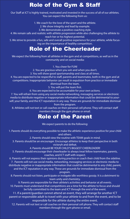### Role of the Gym & Staff

Our Staff at ICT is highly trained, motivated and invested in the success of all of our athletes. You can expect the following from us:

1. We coach for the love of the sport and the athlete.

2. We show integrity and lead by example.

3. We demonstrate a positive coaching style.

4. We remain safe and realistic with athlete progression while also challenging the athlete to reach her or his highest potential.

5. We strive to provide a fun, safe and overall positive experience for your athlete, while focusing on the importance of healthy competition.

#### Role of the Cheerleader

We expect the following from all athletes in the gym and at competitions, as well as in the community and on social media:

1. You cheer for FUN!

2. You are gracious when you win and when you don't.

3. You will show good sportsmanship and class at all times.

4. You are expected to be respectful to staff, parents and teammates, both in the gym and at competitions. Inappropriate behavior can result in expulsion from practice or immediate

dismissal from the team.

5. You will put the team first.

6. You are expected to be accountable for your own actions.

7. You will refrain from using any social media networking, messaging services or electronic media to distribute negative or inapporpriate information that could be detrimental to yourself, your family, and the ICT reputation in any way. These are grounds for immediate dismissal from the program.

8. Athletes will not text or call coaches on their personal cell phone. They will contact staff members through the gym phone or email.

#### Role of the Parent

We expect parents to do the following:

1. Parents should do everything possible to make the athletic experience positive for your child and others.

2. Parents should view the routine with TEAM goals in mind.

3. Parents should be an encourager. Encourage athletes to keep their perspective in both victoryh and defeat.

4. Parents should BE YOUR CHILD'S BIGGEST CHEERLEADER!

5. Parents should encourage their cheerleader to always treat fellow teammates, parents, coaches, and ICT staff with respect.

6. Parents will not express their opinions during practice or coach their child from the sideline.

7. Parents will not use social media, networking, messaging services or electronic media to distribute negative or inappropriate information that could be detrimental to any child, parent, and the ICT reputation in any way. These are grounds for immediate dismissal from the

program.

8. Parents should not listen, participate or instigate idle worthless gossip. It is a detriment to team unity and chemistry.

9. Parents are responsible for their athlete's activities and behavior at all events. 10. Parents must understand that competitions are a time for the athlete to focus and should be fully committed to the team and ICT through the end of the event.

11. If a parent/guardian cannot attend an event, they will arrange for another ICT parent or responsible adult to travel with your athlete to and from the event, and to be responsible for the athlete during the entire event.

12. Parents will not text or call coaches on their personal cell phone. They will contact sta members through the gym phone or email.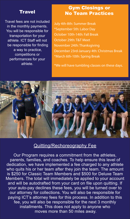#### **Travel**

Travel fees are not included in the monthly payments. You will be responsible for transportation for your athlete. ICT Staff will not be responsible for finding a way to practice, competitions or performances for your athlete.

#### Gym Closings or No Team Practices

July 4th-8th: Summer Break \*September 5th: Labor Day October 10th-14th: Fall Break October 29th: T&T Meet November 24th: Thanksgiving December 23rd-January 4th: Christmas Break \*March 6th-10th: Spring Break

\*We will have tumbling classes on these days.



#### Quitting/Rechoreography Fee

Our Program requires a commitment from the athletes, parents, families, and coaches. To help ensure this level of dedication, we have implemented a fee charged to any athlete who quits his or her team after they join the team. The amount is \$250 for Classic Team Members and \$500 for Deluxe Team Members. The total will immediately be applied to your account and will be autodrafted from your card on file upon quitting. If your auto-pay declines these fees, you will be turned over to our attorney for collections. You will also be responsible for paying ICT's attorney fees for this process. In addition to this fee, you will also be responsible for the next 3 monthly installments. This does not apply to anyone who moves more than 50 miles away.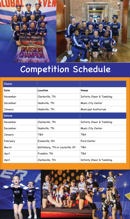

# Competition Schedule

| <b>Classic</b> |                                  |                           |  |
|----------------|----------------------------------|---------------------------|--|
| Date           | Location                         | Venue                     |  |
| November       | Clarksville, TN                  | Infinity Cheer & Tumbling |  |
| December       | Nashville, TN                    | Music City Center         |  |
| January        | Nashville, TN                    | Municipal Auditorium      |  |
| <b>Deluxe</b>  |                                  |                           |  |
| November       | Clarksville, TN                  | Infinity Cheer & Tumbling |  |
| December       | Nashville, TN                    | Music City Center         |  |
| January        | TBA                              | <b>TBA</b>                |  |
| February       | Evansville, IN                   | Ford Center               |  |
| March          | Gatlinburg, TN or Louisville, KY | <b>TBA</b>                |  |
| April          | Franklin, TN                     | <b>TBA</b>                |  |
| April          | Clarksville, TN                  | Infinity Cheer & Tumbling |  |